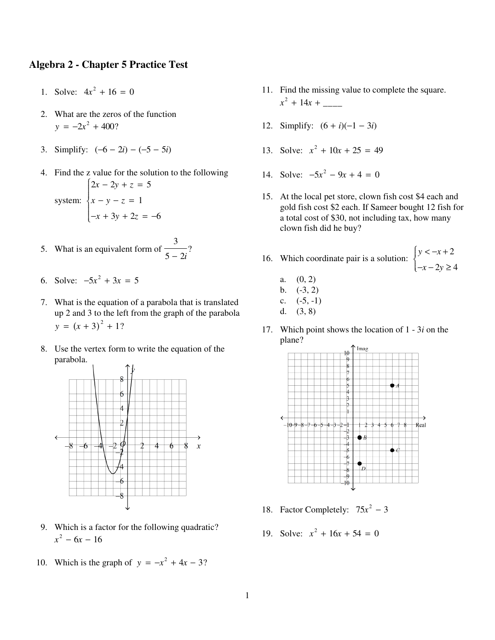## **Algebra 2 - Chapter 5 Practice Test**

- 1. Solve:  $4x^2 + 16 = 0$
- 2. What are the zeros of the function  $y = -2x^2 + 400?$
- 3. Simplify:  $(-6 2i) (-5 5i)$
- 4. Find the z value for the solution to the following system:  $\begin{cases}\n2x - 2y + z = 5 \\
x - y - z = 1 \\
-x + 3y + 2z = -6\n\end{cases}$
- 5. What is an equivalent form of  $\frac{3}{5-2i}$ ?
- 6. Solve:  $-5x^2 + 3x = 5$
- 7. What is the equation of a parabola that is translated up 2 and 3 to the left from the graph of the parabola  $y = (x + 3)^2 + 1?$
- 8. Use the vertex form to write the equation of the parabola.



- 9. Which is a factor for the following quadratic?  $x^2 - 6x - 16$
- 10. Which is the graph of  $y = -x^2 + 4x 3$ ?
- 11. Find the missing value to complete the square.  $x^2 + 14x +$
- 12. Simplify:  $(6 + i)(-1 3i)$
- 13. Solve:  $x^2 + 10x + 25 = 49$
- 14. Solve:  $-5x^2 9x + 4 = 0$
- 15. At the local pet store, clown fish cost \$4 each and gold fish cost \$2 each. If Sameer bought 12 fish for a total cost of \$30, not including tax, how many clown fish did he buy?
- 16. Which coordinate pair is a solution:  $\begin{cases} y < -x + 2 \\ -x 2y \ge 4 \end{cases}$

$$
a. \quad (0, 2)
$$

- b.  $(-3, 2)$
- $\mathbf{c}$ .  $(-5, -1)$
- $(3, 8)$ d.
- 17. Which point shows the location of  $1 3i$  on the plane?



- 18. Factor Completely:  $75x^2 3$
- 19. Solve:  $x^2 + 16x + 54 = 0$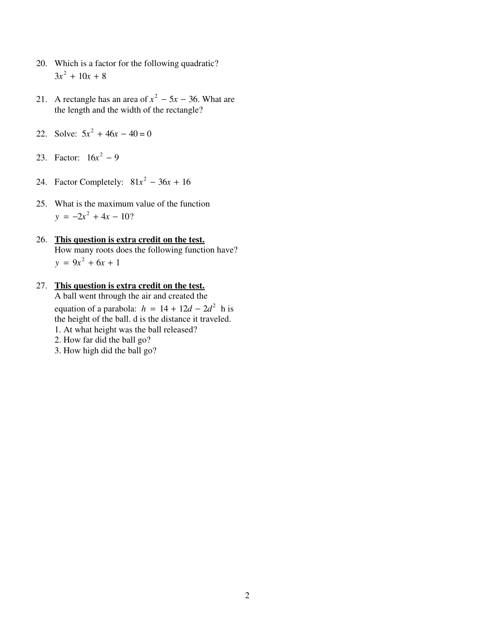- 20. Which is a factor for the following quadratic?  $3x^2 + 10x + 8$
- 21. A rectangle has an area of  $x^2 5x 36$ . What are the length and the width of the rectangle?
- 22. Solve:  $5x^2 + 46x 40 = 0$
- 23. Factor:  $16x^2 9$
- 24. Factor Completely:  $81x^2 36x + 16$ 
	- 25. What is the maximum value of the function  $y = -2x^2 + 4x - 10$ ?
	- 26. **This question is extra credit on the test.** How many roots does the following function have?  $y = 9x^2 + 6x + 1$
	- 27. **This question is extra credit on the test.** A ball went through the air and created the equation of a parabola:  $h = 14 + 12d - 2d^2$  h is the height of the ball. d is the distance it traveled. 1. At what height was the ball released?
		- 2. How far did the ball go?
		- 3. How high did the ball go?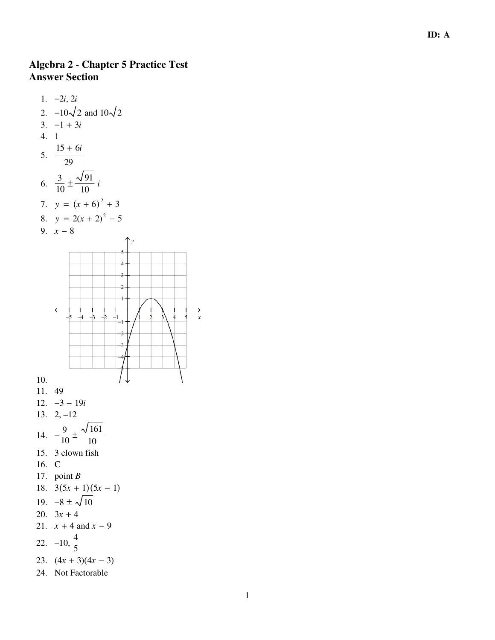## **Algebra 2 - Chapter 5 Practice Test Answer Section**